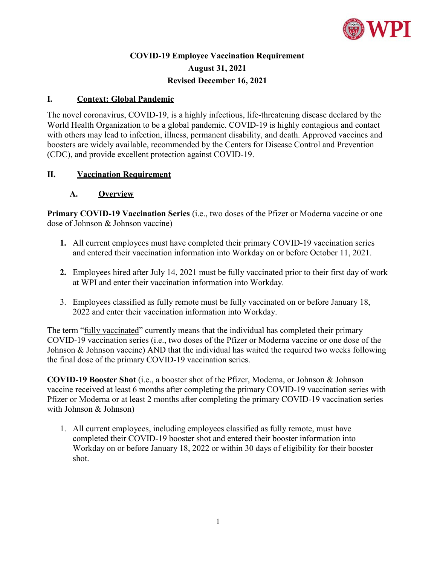

# **COVID-19 Employee Vaccination Requirement August 31, 2021 Revised December 16, 2021**

### **I. Context: Global Pandemic**

The novel coronavirus, COVID-19, is a highly infectious, life-threatening disease declared by the World Health Organization to be a global pandemic. COVID-19 is highly contagious and contact with others may lead to infection, illness, permanent disability, and death. Approved vaccines and boosters are widely available, recommended by the Centers for Disease Control and Prevention (CDC), and provide excellent protection against COVID-19.

### **II. Vaccination Requirement**

### **A. Overview**

**Primary COVID-19 Vaccination Series** (i.e., two doses of the Pfizer or Moderna vaccine or one dose of Johnson & Johnson vaccine)

- **1.** All current employees must have completed their primary COVID-19 vaccination series and entered their vaccination information into Workday on or before October 11, 2021.
- **2.** Employees hired after July 14, 2021 must be fully vaccinated prior to their first day of work at WPI and enter their vaccination information into Workday.
- 3. Employees classified as fully remote must be fully vaccinated on or before January 18, 2022 and enter their vaccination information into Workday.

The term "fully vaccinated" currently means that the individual has completed their primary COVID-19 vaccination series (i.e., two doses of the Pfizer or Moderna vaccine or one dose of the Johnson & Johnson vaccine) AND that the individual has waited the required two weeks following the final dose of the primary COVID-19 vaccination series.

**COVID-19 Booster Shot** (i.e., a booster shot of the Pfizer, Moderna, or Johnson & Johnson vaccine received at least 6 months after completing the primary COVID-19 vaccination series with Pfizer or Moderna or at least 2 months after completing the primary COVID-19 vaccination series with Johnson & Johnson)

1. All current employees, including employees classified as fully remote, must have completed their COVID-19 booster shot and entered their booster information into Workday on or before January 18, 2022 or within 30 days of eligibility for their booster shot.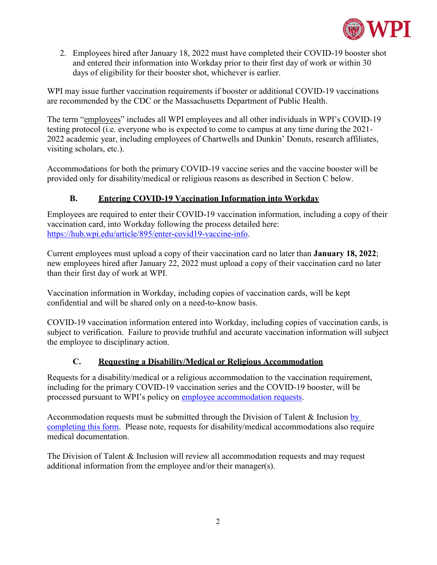

2. Employees hired after January 18, 2022 must have completed their COVID-19 booster shot and entered their information into Workday prior to their first day of work or within 30 days of eligibility for their booster shot, whichever is earlier.

WPI may issue further vaccination requirements if booster or additional COVID-19 vaccinations are recommended by the CDC or the Massachusetts Department of Public Health.

The term "employees" includes all WPI employees and all other individuals in WPI's COVID-19 testing protocol (i.e. everyone who is expected to come to campus at any time during the 2021- 2022 academic year, including employees of Chartwells and Dunkin' Donuts, research affiliates, visiting scholars, etc.).

Accommodations for both the primary COVID-19 vaccine series and the vaccine booster will be provided only for disability/medical or religious reasons as described in Section C below.

## **B. Entering COVID-19 Vaccination Information into Workday**

Employees are required to enter their COVID-19 vaccination information, including a copy of their vaccination card, into Workday following the process detailed here: [https://hub.wpi.edu/article/895/enter-covid19-vaccine-info.](https://hub.wpi.edu/article/895/enter-covid19-vaccine-info)

Current employees must upload a copy of their vaccination card no later than **January 18, 2022**; new employees hired after January 22, 2022 must upload a copy of their vaccination card no later than their first day of work at WPI.

Vaccination information in Workday, including copies of vaccination cards, will be kept confidential and will be shared only on a need-to-know basis.

COVID-19 vaccination information entered into Workday, including copies of vaccination cards, is subject to verification. Failure to provide truthful and accurate vaccination information will subject the employee to disciplinary action.

### **C. Requesting a Disability/Medical or Religious Accommodation**

Requests for a disability/medical or a religious accommodation to the vaccination requirement, including for the primary COVID-19 vaccination series and the COVID-19 booster, will be processed pursuant to WPI's policy on [employee accommodation requests.](https://www.wpi.edu/offices/talent/policies-compliance-notices/policies)

Accommodation requests must be submitted through the Division of Talent & Inclusion [by](https://www.wpi.edu/sites/default/files/2021/08/30/COVID-Vaccine-Accommodation-Form-Employees.pdf)  [completing this form.](https://www.wpi.edu/sites/default/files/2021/08/30/COVID-Vaccine-Accommodation-Form-Employees.pdf) Please note, requests for disability/medical accommodations also require medical documentation.

The Division of Talent & Inclusion will review all accommodation requests and may request additional information from the employee and/or their manager(s).